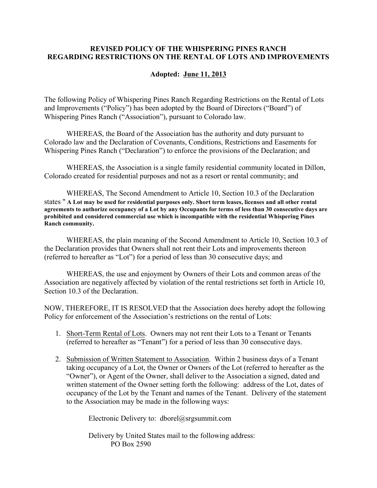## **REVISED POLICY OF THE WHISPERING PINES RANCH REGARDING RESTRICTIONS ON THE RENTAL OF LOTS AND IMPROVEMENTS**

## **Adopted: June 11, 2013**

The following Policy of Whispering Pines Ranch Regarding Restrictions on the Rental of Lots and Improvements ("Policy") has been adopted by the Board of Directors ("Board") of Whispering Pines Ranch ("Association"), pursuant to Colorado law.

WHEREAS, the Board of the Association has the authority and duty pursuant to Colorado law and the Declaration of Covenants, Conditions, Restrictions and Easements for Whispering Pines Ranch ("Declaration") to enforce the provisions of the Declaration; and

WHEREAS, the Association is a single family residential community located in Dillon, Colorado created for residential purposes and not as a resort or rental community; and

WHEREAS, The Second Amendment to Article 10, Section 10.3 of the Declaration states " **A Lot may be used for residential purposes only. Short term leases, licenses and all other rental agreements to authorize occupancy of a Lot by any Occupants for terms of less than 30 consecutive days are prohibited and considered commercial use which is incompatible with the residential Whispering Pines Ranch community.** 

WHEREAS, the plain meaning of the Second Amendment to Article 10, Section 10.3 of the Declaration provides that Owners shall not rent their Lots and improvements thereon (referred to hereafter as "Lot") for a period of less than 30 consecutive days; and

WHEREAS, the use and enjoyment by Owners of their Lots and common areas of the Association are negatively affected by violation of the rental restrictions set forth in Article 10, Section 10.3 of the Declaration.

NOW, THEREFORE, IT IS RESOLVED that the Association does hereby adopt the following Policy for enforcement of the Association's restrictions on the rental of Lots:

- 1. Short-Term Rental of Lots. Owners may not rent their Lots to a Tenant or Tenants (referred to hereafter as "Tenant") for a period of less than 30 consecutive days.
- 2. Submission of Written Statement to Association. Within 2 business days of a Tenant taking occupancy of a Lot, the Owner or Owners of the Lot (referred to hereafter as the "Owner"), or Agent of the Owner, shall deliver to the Association a signed, dated and written statement of the Owner setting forth the following: address of the Lot, dates of occupancy of the Lot by the Tenant and names of the Tenant. Delivery of the statement to the Association may be made in the following ways:

Electronic Delivery to: dborel@srgsummit.com

Delivery by United States mail to the following address: PO Box 2590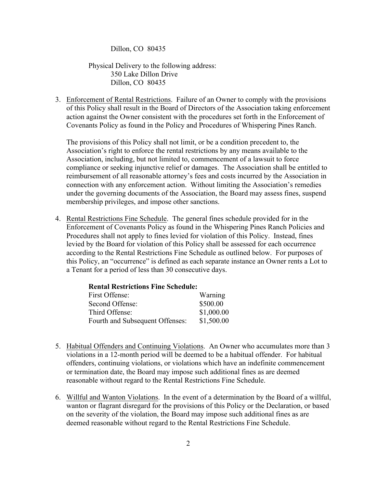Dillon, CO 80435

Physical Delivery to the following address: 350 Lake Dillon Drive Dillon, CO 80435

3. Enforcement of Rental Restrictions. Failure of an Owner to comply with the provisions of this Policy shall result in the Board of Directors of the Association taking enforcement action against the Owner consistent with the procedures set forth in the Enforcement of Covenants Policy as found in the Policy and Procedures of Whispering Pines Ranch.

The provisions of this Policy shall not limit, or be a condition precedent to, the Association's right to enforce the rental restrictions by any means available to the Association, including, but not limited to, commencement of a lawsuit to force compliance or seeking injunctive relief or damages. The Association shall be entitled to reimbursement of all reasonable attorney's fees and costs incurred by the Association in connection with any enforcement action. Without limiting the Association's remedies under the governing documents of the Association, the Board may assess fines, suspend membership privileges, and impose other sanctions.

4. Rental Restrictions Fine Schedule. The general fines schedule provided for in the Enforcement of Covenants Policy as found in the Whispering Pines Ranch Policies and Procedures shall not apply to fines levied for violation of this Policy. Instead, fines levied by the Board for violation of this Policy shall be assessed for each occurrence according to the Rental Restrictions Fine Schedule as outlined below. For purposes of this Policy, an "occurrence" is defined as each separate instance an Owner rents a Lot to a Tenant for a period of less than 30 consecutive days.

| <b>Rental Restrictions Fine Schedule:</b> |            |
|-------------------------------------------|------------|
| First Offense:                            | Warning    |
| Second Offense:                           | \$500.00   |
| Third Offense:                            | \$1,000.00 |
| Fourth and Subsequent Offenses:           | \$1,500.00 |

- 5. Habitual Offenders and Continuing Violations. An Owner who accumulates more than 3 violations in a 12-month period will be deemed to be a habitual offender. For habitual offenders, continuing violations, or violations which have an indefinite commencement or termination date, the Board may impose such additional fines as are deemed reasonable without regard to the Rental Restrictions Fine Schedule.
- 6. Willful and Wanton Violations. In the event of a determination by the Board of a willful, wanton or flagrant disregard for the provisions of this Policy or the Declaration, or based on the severity of the violation, the Board may impose such additional fines as are deemed reasonable without regard to the Rental Restrictions Fine Schedule.